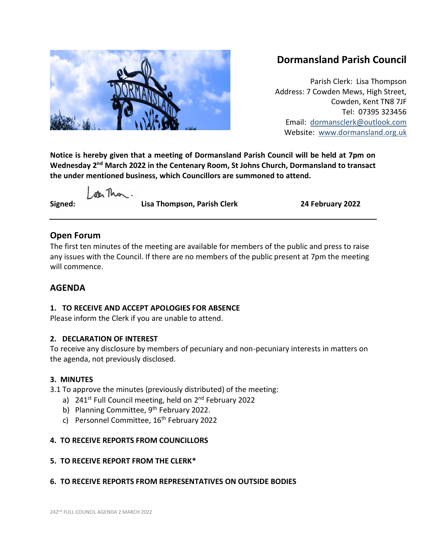

# **Dormansland Parish Council**

Parish Clerk: Lisa Thompson Address: 7 Cowden Mews, High Street, Cowden, Kent TN8 7JF Tel: 07395 323456 Email: [dormansclerk@outlook.com](mailto:dormansclerk@outlook.com) Website: [www.dormansland.org.uk](http://www.dormansland.org.uk/)

**Notice is hereby given that a meeting of Dormansland Parish Council will be held at 7pm on Wednesday 2nd March 2022 in the Centenary Room, St Johns Church, Dormansland to transact the under mentioned business, which Councillors are summoned to attend.**

ster This.

**Signed: Lisa Thompson, Parish Clerk 24 February 2022**

# **Open Forum**

The first ten minutes of the meeting are available for members of the public and press to raise any issues with the Council. If there are no members of the public present at 7pm the meeting will commence.

# **AGENDA**

## **1. TO RECEIVE AND ACCEPT APOLOGIES FOR ABSENCE**

Please inform the Clerk if you are unable to attend.

## **2. DECLARATION OF INTEREST**

To receive any disclosure by members of pecuniary and non-pecuniary interests in matters on the agenda, not previously disclosed.

## **3. MINUTES**

3.1 To approve the minutes (previously distributed) of the meeting:

- a) 241<sup>st</sup> Full Council meeting, held on 2<sup>nd</sup> February 2022
- b) Planning Committee,  $9<sup>th</sup>$  February 2022.
- c) Personnel Committee, 16<sup>th</sup> February 2022

## **4. TO RECEIVE REPORTS FROM COUNCILLORS**

## **5. TO RECEIVE REPORT FROM THE CLERK\***

## **6. TO RECEIVE REPORTS FROM REPRESENTATIVES ON OUTSIDE BODIES**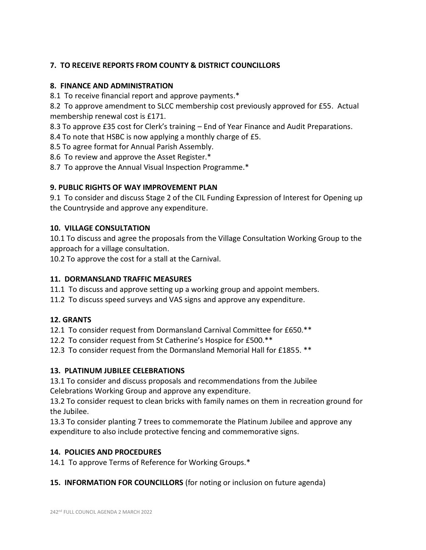## **7. TO RECEIVE REPORTS FROM COUNTY & DISTRICT COUNCILLORS**

#### **8. FINANCE AND ADMINISTRATION**

8.1 To receive financial report and approve payments.\*

8.2 To approve amendment to SLCC membership cost previously approved for £55. Actual membership renewal cost is £171.

8.3 To approve £35 cost for Clerk's training – End of Year Finance and Audit Preparations.

8.4 To note that HSBC is now applying a monthly charge of £5.

8.5 To agree format for Annual Parish Assembly.

8.6 To review and approve the Asset Register.\*

8.7 To approve the Annual Visual Inspection Programme.\*

#### **9. PUBLIC RIGHTS OF WAY IMPROVEMENT PLAN**

9.1 To consider and discuss Stage 2 of the CIL Funding Expression of Interest for Opening up the Countryside and approve any expenditure.

#### **10. VILLAGE CONSULTATION**

10.1 To discuss and agree the proposals from the Village Consultation Working Group to the approach for a village consultation.

10.2 To approve the cost for a stall at the Carnival.

#### **11. DORMANSLAND TRAFFIC MEASURES**

11.1 To discuss and approve setting up a working group and appoint members.

11.2 To discuss speed surveys and VAS signs and approve any expenditure.

## **12. GRANTS**

12.1 To consider request from Dormansland Carnival Committee for £650.\*\*

12.2 To consider request from St Catherine's Hospice for £500.\*\*

12.3 To consider request from the Dormansland Memorial Hall for £1855. \*\*

## **13. PLATINUM JUBILEE CELEBRATIONS**

13.1 To consider and discuss proposals and recommendations from the Jubilee Celebrations Working Group and approve any expenditure.

13.2 To consider request to clean bricks with family names on them in recreation ground for the Jubilee.

13.3 To consider planting 7 trees to commemorate the Platinum Jubilee and approve any expenditure to also include protective fencing and commemorative signs.

## **14. POLICIES AND PROCEDURES**

14.1 To approve Terms of Reference for Working Groups.\*

**15. INFORMATION FOR COUNCILLORS** (for noting or inclusion on future agenda)